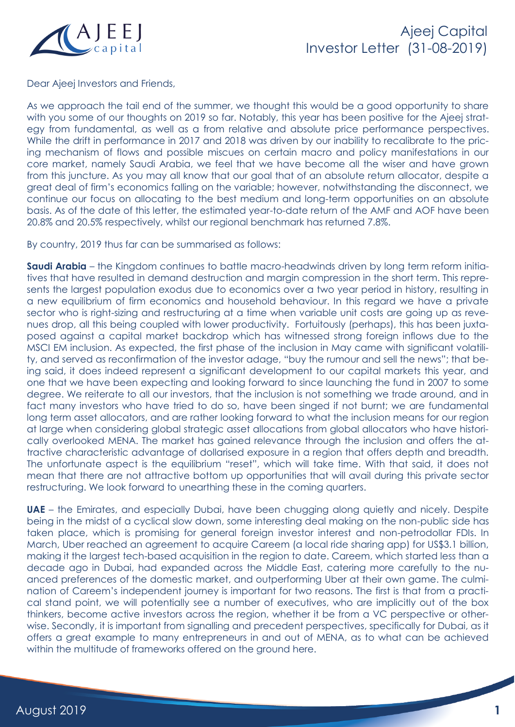

Dear Ajeej Investors and Friends,

As we approach the tail end of the summer, we thought this would be a good opportunity to share with you some of our thoughts on 2019 so far. Notably, this year has been positive for the Ajeej strategy from fundamental, as well as a from relative and absolute price performance perspectives. While the drift in performance in 2017 and 2018 was driven by our inability to recalibrate to the pricing mechanism of flows and possible miscues on certain macro and policy manifestations in our core market, namely Saudi Arabia, we feel that we have become all the wiser and have grown from this juncture. As you may all know that our goal that of an absolute return allocator, despite a great deal of firm's economics falling on the variable; however, notwithstanding the disconnect, we continue our focus on allocating to the best medium and long-term opportunities on an absolute basis. As of the date of this letter, the estimated year-to-date return of the AMF and AOF have been 20.8% and 20.5% respectively, whilst our regional benchmark has returned 7.8%.

By country, 2019 thus far can be summarised as follows:

**Saudi Arabia** – the Kingdom continues to battle macro-headwinds driven by long term reform initiatives that have resulted in demand destruction and margin compression in the short term. This represents the largest population exodus due to economics over a two year period in history, resulting in a new equilibrium of firm economics and household behaviour. In this regard we have a private sector who is right-sizing and restructuring at a time when variable unit costs are going up as revenues drop, all this being coupled with lower productivity. Fortuitously (perhaps), this has been juxtaposed against a capital market backdrop which has witnessed strong foreign inflows due to the MSCI EM inclusion. As expected, the first phase of the inclusion in May came with significant volatility, and served as reconfirmation of the investor adage, "buy the rumour and sell the news"; that being said, it does indeed represent a significant development to our capital markets this year, and one that we have been expecting and looking forward to since launching the fund in 2007 to some degree. We reiterate to all our investors, that the inclusion is not something we trade around, and in fact many investors who have tried to do so, have been singed if not burnt; we are fundamental long term asset allocators, and are rather looking forward to what the inclusion means for our region at large when considering global strategic asset allocations from global allocators who have historically overlooked MENA. The market has gained relevance through the inclusion and offers the attractive characteristic advantage of dollarised exposure in a region that offers depth and breadth. The unfortunate aspect is the equilibrium "reset", which will take time. With that said, it does not mean that there are not attractive bottom up opportunities that will avail during this private sector restructuring. We look forward to unearthing these in the coming quarters.

**UAE** – the Emirates, and especially Dubai, have been chugging along quietly and nicely. Despite being in the midst of a cyclical slow down, some interesting deal making on the non-public side has taken place, which is promising for general foreign investor interest and non-petrodollar FDIs. In March, Uber reached an agreement to acquire Careem (a local ride sharing app) for US\$3.1 billion, making it the largest tech-based acquisition in the region to date. Careem, which started less than a decade ago in Dubai, had expanded across the Middle East, catering more carefully to the nuanced preferences of the domestic market, and outperforming Uber at their own game. The culmination of Careem's independent journey is important for two reasons. The first is that from a practical stand point, we will potentially see a number of executives, who are implicitly out of the box thinkers, become active investors across the region, whether it be from a VC perspective or otherwise. Secondly, it is important from signalling and precedent perspectives, specifically for Dubai, as it offers a great example to many entrepreneurs in and out of MENA, as to what can be achieved within the multitude of frameworks offered on the ground here.